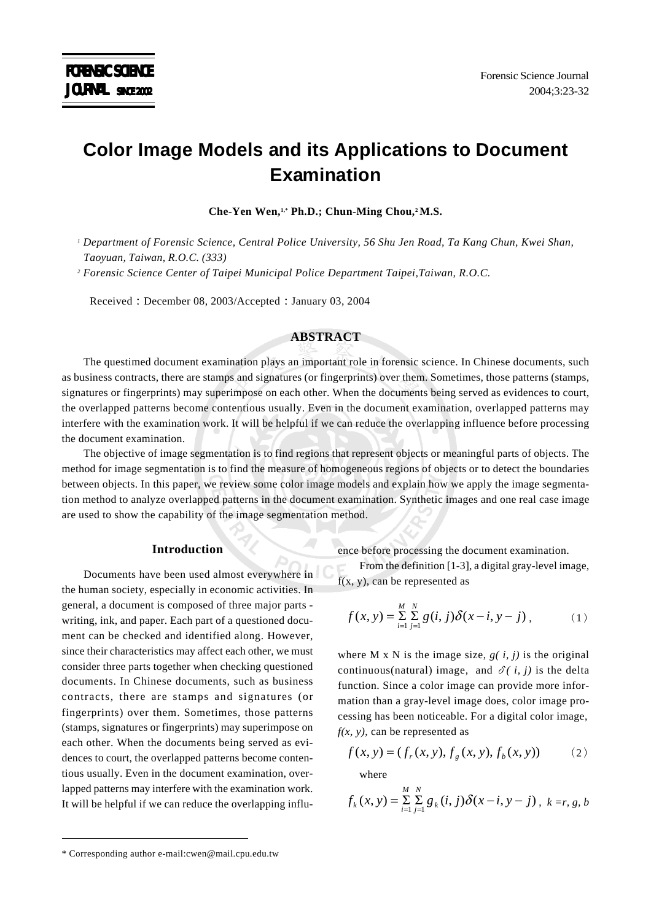# **Color Image Models and its Applications to Document Examination**

**Che-Yen Wen,1,\* Ph.D.; Chun-Ming Chou,2 M.S.**

*1 Department of Forensic Science, Central Police University, 56 Shu Jen Road, Ta Kang Chun, Kwei Shan, Taoyuan, Taiwan, R.O.C. (333)*

*2 Forensic Science Center of Taipei Municipal Police Department Taipei,Taiwan, R.O.C.*

Received : December 08, 2003/Accepted : January 03, 2004

### **ABSTRACT**

The questimed document examination plays an important role in forensic science. In Chinese documents, such as business contracts, there are stamps and signatures (or fingerprints) over them. Sometimes, those patterns (stamps, signatures or fingerprints) may superimpose on each other. When the documents being served as evidences to court, the overlapped patterns become contentious usually. Even in the document examination, overlapped patterns may interfere with the examination work. It will be helpful if we can reduce the overlapping influence before processing the document examination.

The objective of image segmentation is to find regions that represent objects or meaningful parts of objects. The method for image segmentation is to find the measure of homogeneous regions of objects or to detect the boundaries between objects. In this paper, we review some color image models and explain how we apply the image segmentation method to analyze overlapped patterns in the document examination. Synthetic images and one real case image are used to show the capability of the image segmentation method.

#### **Introduction**

Documents have been used almost everywhere in the human society, especially in economic activities. In general, a document is composed of three major parts writing, ink, and paper. Each part of a questioned document can be checked and identified along. However, since their characteristics may affect each other, we must consider three parts together when checking questioned documents. In Chinese documents, such as business contracts, there are stamps and signatures (or fingerprints) over them. Sometimes, those patterns (stamps, signatures or fingerprints) may superimpose on each other. When the documents being served as evidences to court, the overlapped patterns become contentious usually. Even in the document examination, overlapped patterns may interfere with the examination work. It will be helpful if we can reduce the overlapping influence before processing the document examination.

From the definition [1-3], a digital gray-level image,  $f(x, y)$ , can be represented as

$$
f(x, y) = \sum_{i=1}^{M} \sum_{j=1}^{N} g(i, j) \delta(x - i, y - j),
$$
 (1)

where M x N is the image size,  $g(i, j)$  is the original continuous(natural) image, and  $\delta(i, j)$  is the delta function. Since a color image can provide more information than a gray-level image does, color image processing has been noticeable. For a digital color image, *f(x, y)*, can be represented as

$$
f(x, y) = (fr(x, y), fg(x, y), fb(x, y))
$$
 (2)

where

$$
f_k(x, y) = \sum_{i=1}^{M} \sum_{j=1}^{N} g_k(i, j) \delta(x - i, y - j), \ k = r, g, b
$$

<sup>\*</sup> Corresponding author e-mail:cwen@mail.cpu.edu.tw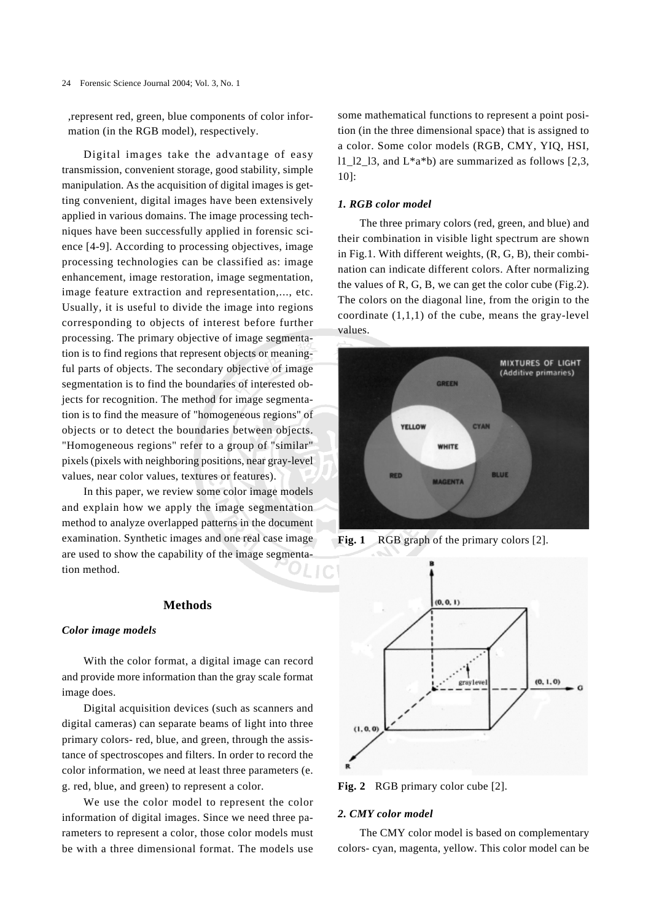,represent red, green, blue components of color information (in the RGB model), respectively.

Digital images take the advantage of easy transmission, convenient storage, good stability, simple manipulation. As the acquisition of digital images is getting convenient, digital images have been extensively applied in various domains. The image processing techniques have been successfully applied in forensic science [4-9]. According to processing objectives, image processing technologies can be classified as: image enhancement, image restoration, image segmentation, image feature extraction and representation,..., etc. Usually, it is useful to divide the image into regions corresponding to objects of interest before further processing. The primary objective of image segmentation is to find regions that represent objects or meaningful parts of objects. The secondary objective of image segmentation is to find the boundaries of interested objects for recognition. The method for image segmentation is to find the measure of "homogeneous regions" of objects or to detect the boundaries between objects. "Homogeneous regions" refer to a group of "similar" pixels (pixels with neighboring positions, near gray-level values, near color values, textures or features).

In this paper, we review some color image models and explain how we apply the image segmentation method to analyze overlapped patterns in the document examination. Synthetic images and one real case image are used to show the capability of the image segmentation method.

#### **Methods**

#### *Color image models*

With the color format, a digital image can record and provide more information than the gray scale format image does.

Digital acquisition devices (such as scanners and digital cameras) can separate beams of light into three primary colors- red, blue, and green, through the assistance of spectroscopes and filters. In order to record the color information, we need at least three parameters (e. g. red, blue, and green) to represent a color.

We use the color model to represent the color information of digital images. Since we need three parameters to represent a color, those color models must be with a three dimensional format. The models use some mathematical functions to represent a point position (in the three dimensional space) that is assigned to a color. Some color models (RGB, CMY, YIQ, HSI,  $11\_12\_13$ , and  $L^*a^*b$ ) are summarized as follows [2,3, 10]:

#### *1. RGB color model*

The three primary colors (red, green, and blue) and their combination in visible light spectrum are shown in Fig.1. With different weights, (R, G, B), their combination can indicate different colors. After normalizing the values of R, G, B, we can get the color cube (Fig.2). The colors on the diagonal line, from the origin to the coordinate  $(1,1,1)$  of the cube, means the gray-level values.



**Fig. 1** RGB graph of the primary colors [2].



Fig. 2 RGB primary color cube [2].

#### *2. CMY color model*

The CMY color model is based on complementary colors- cyan, magenta, yellow. This color model can be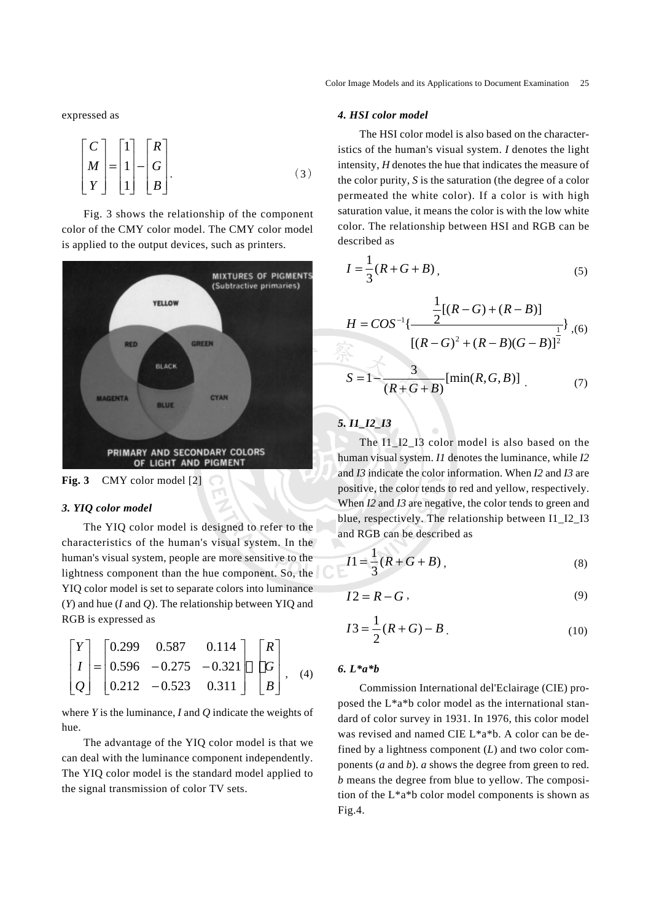expressed as

$$
\begin{bmatrix} C \\ M \\ Y \end{bmatrix} = \begin{bmatrix} 1 \\ 1 \\ 1 \end{bmatrix} - \begin{bmatrix} R \\ G \\ B \end{bmatrix}.
$$
 (3)

Fig. 3 shows the relationship of the component color of the CMY color model. The CMY color model is applied to the output devices, such as printers.



**Fig. 3** CMY color model [2]

#### *3. YIQ color model*

The YIQ color model is designed to refer to the characteristics of the human's visual system. In the human's visual system, people are more sensitive to the lightness component than the hue component. So, the YIQ color model is set to separate colors into luminance (*Y*) and hue (*I* and *Q*). The relationship between YIQ and RGB is expressed as

$$
\begin{bmatrix} Y \\ I \\ Q \end{bmatrix} = \begin{bmatrix} 0.299 & 0.587 & 0.114 \\ 0.596 & -0.275 & -0.321 \\ 0.212 & -0.523 & 0.311 \end{bmatrix} \begin{bmatrix} R \\ G \\ B \end{bmatrix}, \quad (4)
$$

where *Y* is the luminance, *I* and *Q* indicate the weights of hue.

The advantage of the YIQ color model is that we can deal with the luminance component independently. The YIQ color model is the standard model applied to the signal transmission of color TV sets.

#### *4. HSI color model*

The HSI color model is also based on the characteristics of the human's visual system. *I* denotes the light intensity, *H* denotes the hue that indicates the measure of the color purity, *S* is the saturation (the degree of a color permeated the white color). If a color is with high saturation value, it means the color is with the low white color. The relationship between HSI and RGB can be described as

$$
I = \frac{1}{3}(R + G + B),
$$
 (5)

$$
H = COS^{-1}\left\{\frac{\frac{1}{2}[(R-G) + (R-B)]}{[(R-G)^{2} + (R-B)(G-B)]^{2}}\right\}, (6)
$$

$$
S = 1 - \frac{3}{(R + G + B)} [\min(R, G, B)]
$$
 (7)

# *5. I1\_I2\_I3*

The I1\_I2\_I3 color model is also based on the human visual system. *I1* denotes the luminance, while *I2* and *I3* indicate the color information. When *I2* and *I3* are positive, the color tends to red and yellow, respectively. When *I2* and *I3* are negative, the color tends to green and blue, respectively. The relationship between I1\_I2\_I3 and RGB can be described as

$$
I1 = \frac{1}{3}(R + G + B),
$$
 (8)

$$
I2 = R - G \tag{9}
$$

$$
I3 = \frac{1}{2}(R+G) - B
$$
\n(10)

#### *6. L\*a\*b*

Commission International del'Eclairage (CIE) proposed the L\*a\*b color model as the international standard of color survey in 1931. In 1976, this color model was revised and named CIE L\*a\*b. A color can be defined by a lightness component (*L*) and two color components (*a* and *b*). *a* shows the degree from green to red. *b* means the degree from blue to yellow. The composition of the L\*a\*b color model components is shown as Fig.4.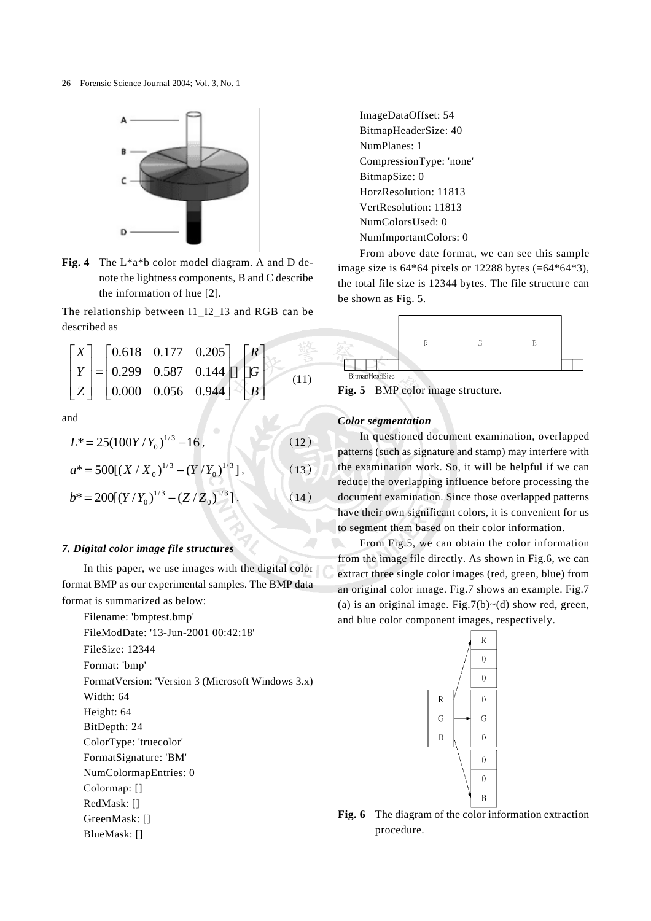26 Forensic Science Journal 2004; Vol. 3, No. 1



**Fig. 4** The L\*a\*b color model diagram. A and D denote the lightness components, B and C describe the information of hue [2].

The relationship between I1\_I2\_I3 and RGB can be described as

$$
\begin{bmatrix} X \ Y \ Z \end{bmatrix} = \begin{bmatrix} 0.618 & 0.177 & 0.205 \\ 0.299 & 0.587 & 0.144 \\ 0.000 & 0.056 & 0.944 \end{bmatrix} \begin{bmatrix} R \\ G \\ B \end{bmatrix}
$$
(11)

and

$$
L^* = 25(100Y/Y_0)^{1/3} - 16, \qquad (12)
$$

$$
a^* = 500[(X/X_0)^{1/3} - (Y/Y_0)^{1/3}], \qquad (13)
$$

$$
b^* = 200[(Y/Y_0)^{1/3} - (Z/Z_0)^{1/3}].
$$
 (14)

#### *7. Digital color image file structures*

In this paper, we use images with the digital color format BMP as our experimental samples. The BMP data format is summarized as below:

Filename: 'bmptest.bmp' FileModDate: '13-Jun-2001 00:42:18' FileSize: 12344 Format: 'bmp' FormatVersion: 'Version 3 (Microsoft Windows 3.x) Width: 64 Height: 64 BitDepth: 24 ColorType: 'truecolor' FormatSignature: 'BM' NumColormapEntries: 0 Colormap: [] RedMask: []

GreenMask: [] BlueMask: []

ImageDataOffset: 54 BitmapHeaderSize: 40 NumPlanes: 1 CompressionType: 'none' BitmapSize: 0 HorzResolution: 11813 VertResolution: 11813 NumColorsUsed: 0 NumImportantColors: 0

From above date format, we can see this sample image size is 64\*64 pixels or 12288 bytes (=64\*64\*3), the total file size is 12344 bytes. The file structure can be shown as Fig. 5.

| <b>RitmonHandSize</b> |  |  |
|-----------------------|--|--|

**Fig. 5** BMP color image structure.

#### *Color segmentation*

In questioned document examination, overlapped patterns (such as signature and stamp) may interfere with the examination work. So, it will be helpful if we can reduce the overlapping influence before processing the document examination. Since those overlapped patterns have their own significant colors, it is convenient for us to segment them based on their color information.

From Fig.5, we can obtain the color information from the image file directly. As shown in Fig.6, we can extract three single color images (red, green, blue) from an original color image. Fig.7 shows an example. Fig.7 (a) is an original image. Fig.7(b) $\sim$ (d) show red, green, and blue color component images, respectively.



**Fig. 6** The diagram of the color information extraction procedure.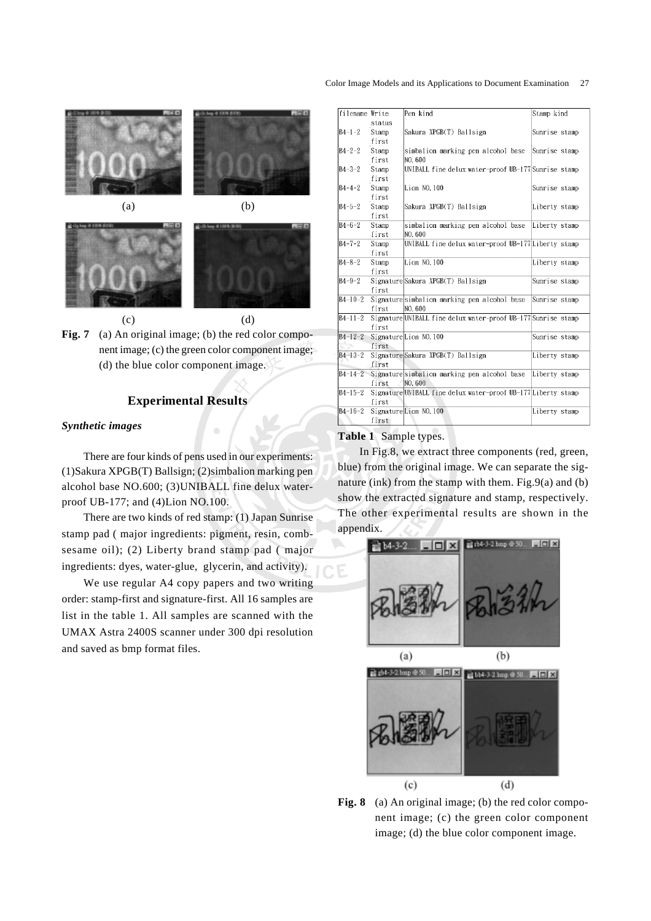



## **Experimental Results**

#### *Synthetic images*

There are four kinds of pens used in our experiments: (1)Sakura XPGB(T) Ballsign; (2)simbalion marking pen alcohol base NO.600; (3)UNIBALL fine delux waterproof UB-177; and (4)Lion NO.100.

There are two kinds of red stamp: (1) Japan Sunrise stamp pad ( major ingredients: pigment, resin, combsesame oil); (2) Liberty brand stamp pad ( major ingredients: dyes, water-glue, glycerin, and activity).

We use regular A4 copy papers and two writing order: stamp-first and signature-first. All 16 samples are list in the table 1. All samples are scanned with the UMAX Astra 2400S scanner under 300 dpi resolution and saved as bmp format files.

# Color Image Models and its Applications to Document Examination 27

| filename Write      |        | Pen kind                                                      | Stamp kind    |  |
|---------------------|--------|---------------------------------------------------------------|---------------|--|
|                     | status |                                                               |               |  |
| $B4 - 1 - 2$        | Stamp  | Sakura XPGB(T) Ballsign                                       | Sunrise stamp |  |
|                     | first  |                                                               |               |  |
| $B4 - 2 - 2$        | Stamp  | simbalion marking pen alcohol base                            | Sunrise stamp |  |
|                     | first  | NO. 600                                                       |               |  |
| $B4 - 3 - 2$        | Stamp  | UNIBALL fine delux water-proof UB-177 Sunrise stamp           |               |  |
|                     | first  |                                                               |               |  |
| $B4 - 4 - 2$        | Stamp  | Lion NO. 100                                                  | Sunrise stamp |  |
|                     | first  |                                                               |               |  |
| $B4 - 5 - 2$        | Stamp  | Sakura XPGB(T) Ballsign                                       | Liberty stamp |  |
|                     | first  |                                                               |               |  |
| $B4 - 6 - 2$        | Stamp  | simbalion marking pen alcohol base                            | Liberty stamp |  |
|                     | first  | NO. 600                                                       |               |  |
| $B4 - 7 - 2$        | Stamp  | UNIBALL fine delux water-proof UB-177Liberty stamp            |               |  |
|                     | first  |                                                               |               |  |
| $B4 - 8 - 2$        | Stamp  | Lion NO. 100                                                  | Liberty stamp |  |
|                     | first  |                                                               |               |  |
| $B4 - 9 - 2$        |        | Signature Sakura XPGB(T) Ballsign                             | Sunrise stamp |  |
|                     | first  |                                                               |               |  |
| $B4 - 10 - 2$       |        | Signaturesimbalion marking pen alcohol base                   | Sunrise stamp |  |
|                     | first  | INO. 600                                                      |               |  |
| $B4 - 11 - 2$       |        | Signature UNIBALL fine delux water-proof UB-177 Sunrise stamp |               |  |
|                     | first  |                                                               |               |  |
| $B4 - 12 - 2$       |        | SignatureLion NO.100                                          | Sunrise stamp |  |
|                     | first  |                                                               |               |  |
| $B4 - 13 - 2$       |        | SignatureSakura XPGB(T) Ballsign                              | Liberty stamp |  |
|                     | first  |                                                               |               |  |
| $B4 - 14 - 2$       |        | Signaturesimbalion marking pen alcohol base                   | Liberty stamp |  |
|                     | first  | NO. 600                                                       |               |  |
| $B4 - 15 - 2$       |        | Signature UNIBALL fine delux water-proof UB-177 Liberty stamp |               |  |
|                     | first  |                                                               |               |  |
| $\bar{B4} - 16 - 2$ |        | SignatureLion NO. 100                                         | Liberty stamp |  |
|                     | first  |                                                               |               |  |

#### **Table 1** Sample types.

In Fig.8, we extract three components (red, green, blue) from the original image. We can separate the signature (ink) from the stamp with them. Fig.9(a) and (b) show the extracted signature and stamp, respectively. The other experimental results are shown in the appendix.



Fig. 8 (a) An original image; (b) the red color component image; (c) the green color component image; (d) the blue color component image.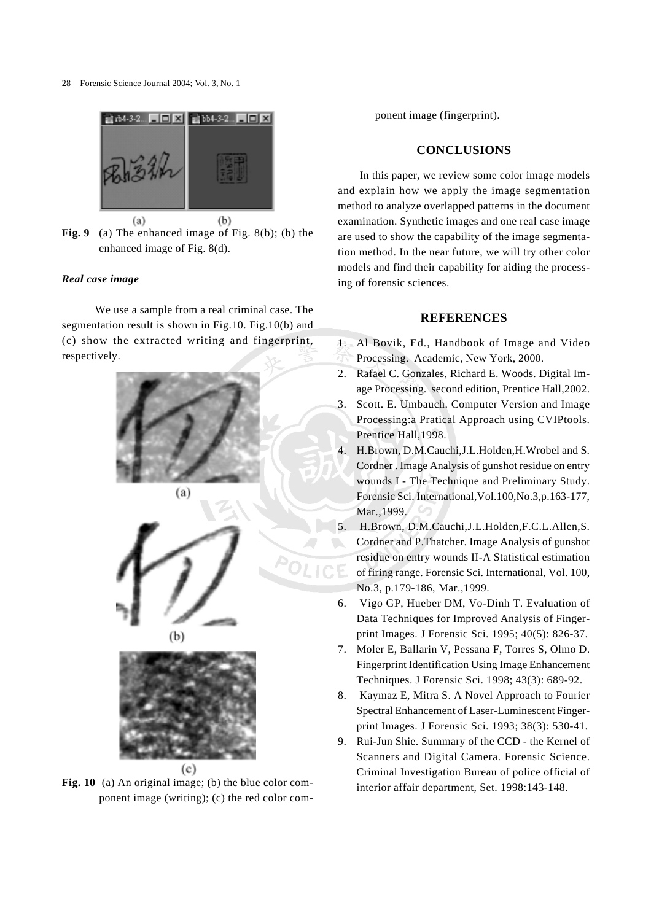28 Forensic Science Journal 2004; Vol. 3, No. 1



**Fig. 9** (a) The enhanced image of Fig. 8(b); (b) the enhanced image of Fig. 8(d).

#### *Real case image*

 We use a sample from a real criminal case. The segmentation result is shown in Fig.10. Fig.10(b) and (c) show the extracted writing and fingerprint, respectively.





Fig. 10 (a) An original image; (b) the blue color component image (writing); (c) the red color com-

ponent image (fingerprint).

# **CONCLUSIONS**

In this paper, we review some color image models and explain how we apply the image segmentation method to analyze overlapped patterns in the document examination. Synthetic images and one real case image are used to show the capability of the image segmentation method. In the near future, we will try other color models and find their capability for aiding the processing of forensic sciences.

#### **REFERENCES**

- 1. Al Bovik, Ed., Handbook of Image and Video Processing. Academic, New York, 2000.
- 2. Rafael C. Gonzales, Richard E. Woods. Digital Image Processing. second edition, Prentice Hall,2002.
- 3. Scott. E. Umbauch. Computer Version and Image Processing:a Pratical Approach using CVIPtools. Prentice Hall,1998.
- 4. H.Brown, D.M.Cauchi,J.L.Holden,H.Wrobel and S. Cordner . Image Analysis of gunshot residue on entry wounds I - The Technique and Preliminary Study. Forensic Sci. International,Vol.100,No.3,p.163-177, Mar., 1999.
- 5. H.Brown, D.M.Cauchi,J.L.Holden,F.C.L.Allen,S. Cordner and P.Thatcher. Image Analysis of gunshot residue on entry wounds II-A Statistical estimation of firing range. Forensic Sci. International, Vol. 100, No.3, p.179-186, Mar.,1999.
- 6. Vigo GP, Hueber DM, Vo-Dinh T. Evaluation of Data Techniques for Improved Analysis of Fingerprint Images. J Forensic Sci. 1995; 40(5): 826-37.
- 7. Moler E, Ballarin V, Pessana F, Torres S, Olmo D. Fingerprint Identification Using Image Enhancement Techniques. J Forensic Sci. 1998; 43(3): 689-92.
- 8. Kaymaz E, Mitra S. A Novel Approach to Fourier Spectral Enhancement of Laser-Luminescent Fingerprint Images. J Forensic Sci. 1993; 38(3): 530-41.
- 9. Rui-Jun Shie. Summary of the CCD the Kernel of Scanners and Digital Camera. Forensic Science. Criminal Investigation Bureau of police official of interior affair department, Set. 1998:143-148.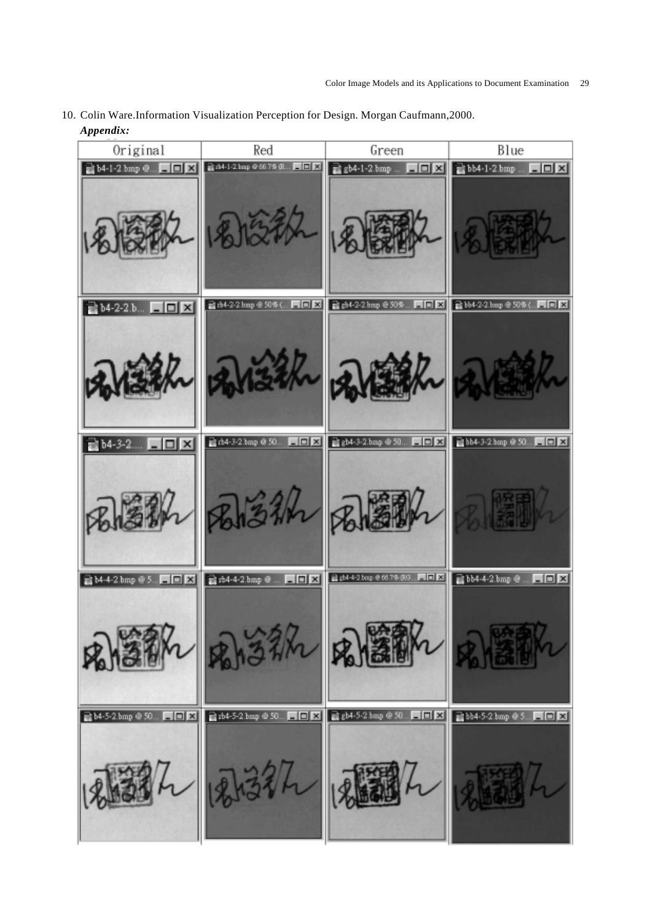10. Colin Ware.Information Visualization Perception for Design. Morgan Caufmann,2000. *Appendix:*

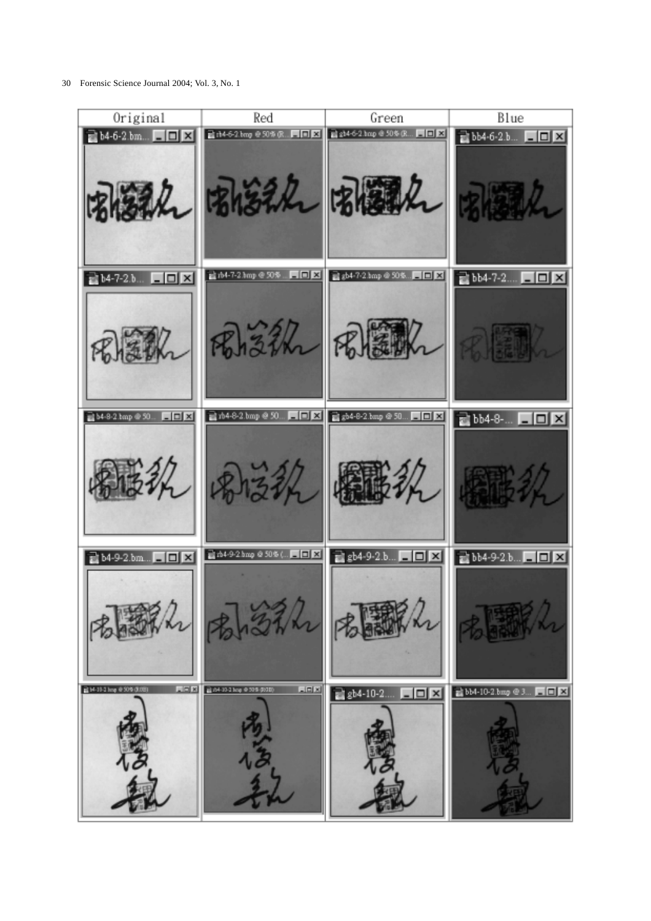30 Forensic Science Journal 2004; Vol. 3, No. 1

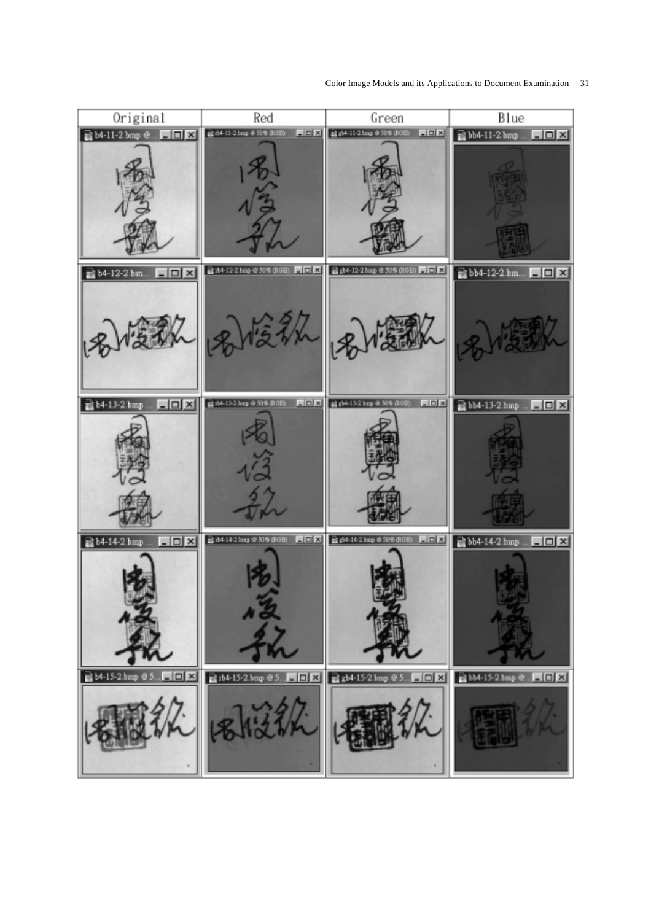

Color Image Models and its Applications to Document Examination 31